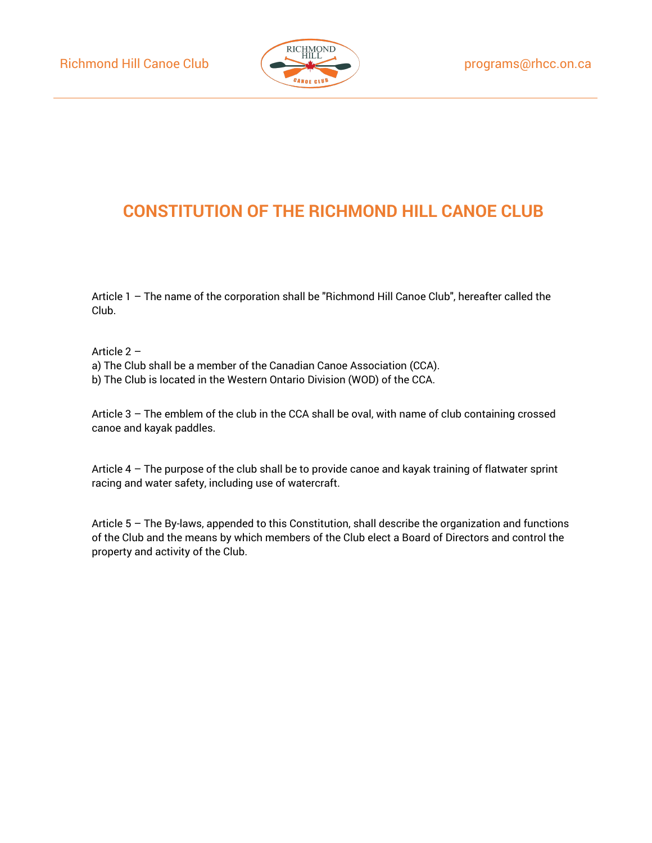

# **CONSTITUTION OF THE RICHMOND HILL CANOE CLUB**

Article 1 – The name of the corporation shall be "Richmond Hill Canoe Club", hereafter called the Club.

Article 2 –

a) The Club shall be a member of the Canadian Canoe Association (CCA).

b) The Club is located in the Western Ontario Division (WOD) of the CCA.

Article 3 – The emblem of the club in the CCA shall be oval, with name of club containing crossed canoe and kayak paddles.

Article 4 – The purpose of the club shall be to provide canoe and kayak training of flatwater sprint racing and water safety, including use of watercraft.

Article 5 – The By-laws, appended to this Constitution, shall describe the organization and functions of the Club and the means by which members of the Club elect a Board of Directors and control the property and activity of the Club.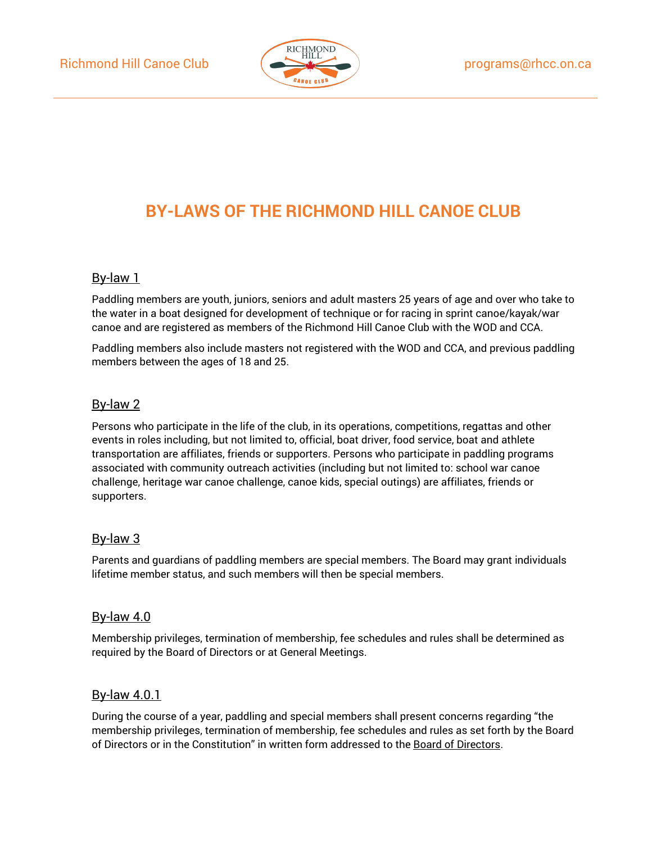

# **BY-LAWS OF THE RICHMOND HILL CANOE CLUB**

#### By-law 1

Paddling members are youth, juniors, seniors and adult masters 25 years of age and over who take to the water in a boat designed for development of technique or for racing in sprint canoe/kayak/war canoe and are registered as members of the Richmond Hill Canoe Club with the WOD and CCA.

Paddling members also include masters not registered with the WOD and CCA, and previous paddling members between the ages of 18 and 25.

#### By-law 2

Persons who participate in the life of the club, in its operations, competitions, regattas and other events in roles including, but not limited to, official, boat driver, food service, boat and athlete transportation are affiliates, friends or supporters. Persons who participate in paddling programs associated with community outreach activities (including but not limited to: school war canoe challenge, heritage war canoe challenge, canoe kids, special outings) are affiliates, friends or supporters.

#### By-law 3

Parents and guardians of paddling members are special members. The Board may grant individuals lifetime member status, and such members will then be special members.

#### By-law 4.0

Membership privileges, termination of membership, fee schedules and rules shall be determined as required by the Board of Directors or at General Meetings.

#### By-law 4.0.1

During the course of a year, paddling and special members shall present concerns regarding "the membership privileges, termination of membership, fee schedules and rules as set forth by the Board of Directors or in the Constitution" in written form addressed to the Board of Directors.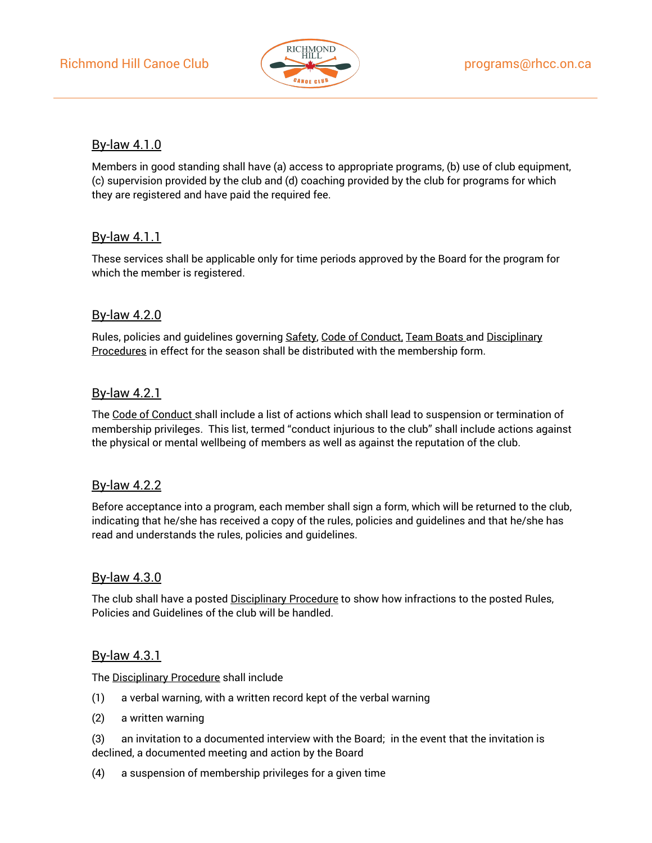

# By-law 4.1.0

Members in good standing shall have (a) access to appropriate programs, (b) use of club equipment, (c) supervision provided by the club and (d) coaching provided by the club for programs for which they are registered and have paid the required fee.

## By-law 4.1.1

These services shall be applicable only for time periods approved by the Board for the program for which the member is registered.

# By-law 4.2.0

Rules, policies and quidelines governing Safety, Code of Conduct, Team Boats and Disciplinary Procedures in effect for the season shall be distributed with the membership form.

#### By-law 4.2.1

The Code of Conduct shall include a list of actions which shall lead to suspension or termination of membership privileges. This list, termed "conduct injurious to the club" shall include actions against the physical or mental wellbeing of members as well as against the reputation of the club.

#### By-law 4.2.2

Before acceptance into a program, each member shall sign a form, which will be returned to the club, indicating that he/she has received a copy of the rules, policies and guidelines and that he/she has read and understands the rules, policies and guidelines.

#### By-law 4.3.0

The club shall have a posted Disciplinary Procedure to show how infractions to the posted Rules, Policies and Guidelines of the club will be handled.

#### By-law 4.3.1

The Disciplinary Procedure shall include

- (1) a verbal warning, with a written record kept of the verbal warning
- (2) a written warning
- (3) an invitation to a documented interview with the Board; in the event that the invitation is declined, a documented meeting and action by the Board
- (4) a suspension of membership privileges for a given time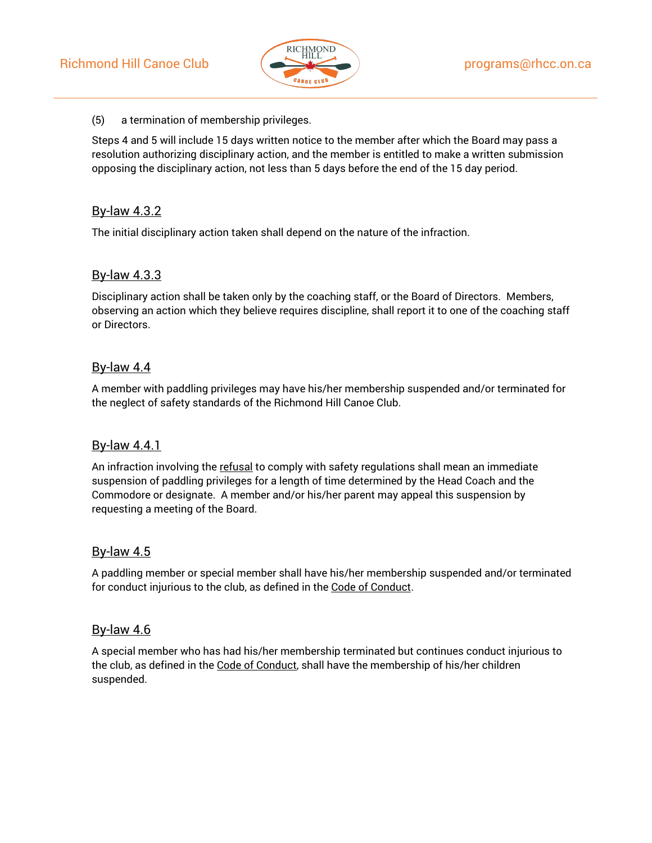

#### (5) a termination of membership privileges.

Steps 4 and 5 will include 15 days written notice to the member after which the Board may pass a resolution authorizing disciplinary action, and the member is entitled to make a written submission opposing the disciplinary action, not less than 5 days before the end of the 15 day period.

#### By-law 4.3.2

The initial disciplinary action taken shall depend on the nature of the infraction.

#### By-law 4.3.3

Disciplinary action shall be taken only by the coaching staff, or the Board of Directors. Members, observing an action which they believe requires discipline, shall report it to one of the coaching staff or Directors.

#### By-law 4.4

A member with paddling privileges may have his/her membership suspended and/or terminated for the neglect of safety standards of the Richmond Hill Canoe Club.

#### By-law 4.4.1

An infraction involving the refusal to comply with safety regulations shall mean an immediate suspension of paddling privileges for a length of time determined by the Head Coach and the Commodore or designate. A member and/or his/her parent may appeal this suspension by requesting a meeting of the Board.

#### By-law 4.5

A paddling member or special member shall have his/her membership suspended and/or terminated for conduct injurious to the club, as defined in the Code of Conduct.

#### By-law 4.6

A special member who has had his/her membership terminated but continues conduct injurious to the club, as defined in the Code of Conduct, shall have the membership of his/her children suspended.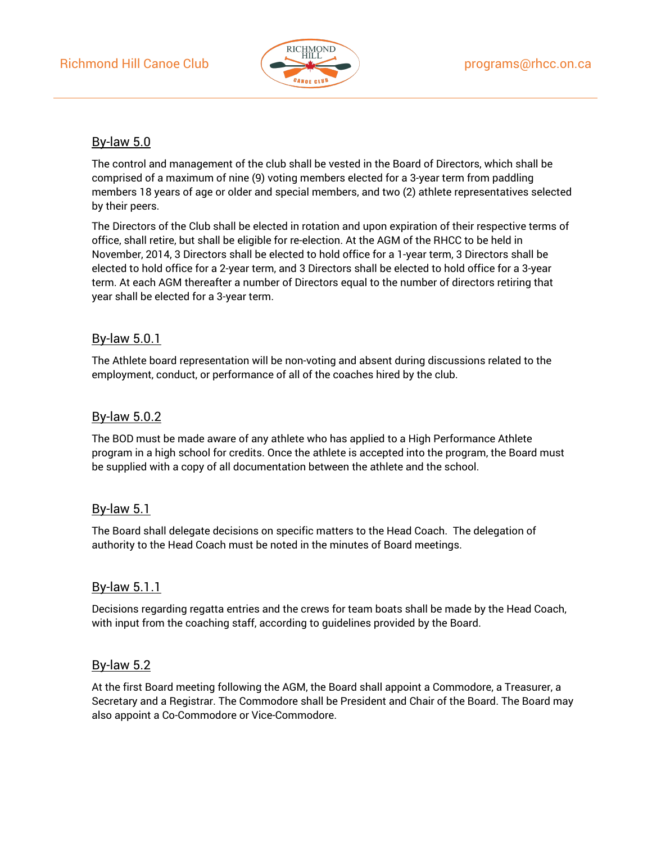

# By-law 5.0

The control and management of the club shall be vested in the Board of Directors, which shall be comprised of a maximum of nine (9) voting members elected for a 3-year term from paddling members 18 years of age or older and special members, and two (2) athlete representatives selected by their peers.

The Directors of the Club shall be elected in rotation and upon expiration of their respective terms of office, shall retire, but shall be eligible for re-election. At the AGM of the RHCC to be held in November, 2014, 3 Directors shall be elected to hold office for a 1-year term, 3 Directors shall be elected to hold office for a 2-year term, and 3 Directors shall be elected to hold office for a 3-year term. At each AGM thereafter a number of Directors equal to the number of directors retiring that year shall be elected for a 3-year term.

# By-law 5.0.1

The Athlete board representation will be non-voting and absent during discussions related to the employment, conduct, or performance of all of the coaches hired by the club.

# By-law 5.0.2

The BOD must be made aware of any athlete who has applied to a High Performance Athlete program in a high school for credits. Once the athlete is accepted into the program, the Board must be supplied with a copy of all documentation between the athlete and the school.

# By-law 5.1

The Board shall delegate decisions on specific matters to the Head Coach. The delegation of authority to the Head Coach must be noted in the minutes of Board meetings.

# By-law 5.1.1

Decisions regarding regatta entries and the crews for team boats shall be made by the Head Coach, with input from the coaching staff, according to guidelines provided by the Board.

# By-law 5.2

At the first Board meeting following the AGM, the Board shall appoint a Commodore, a Treasurer, a Secretary and a Registrar. The Commodore shall be President and Chair of the Board. The Board may also appoint a Co-Commodore or Vice-Commodore.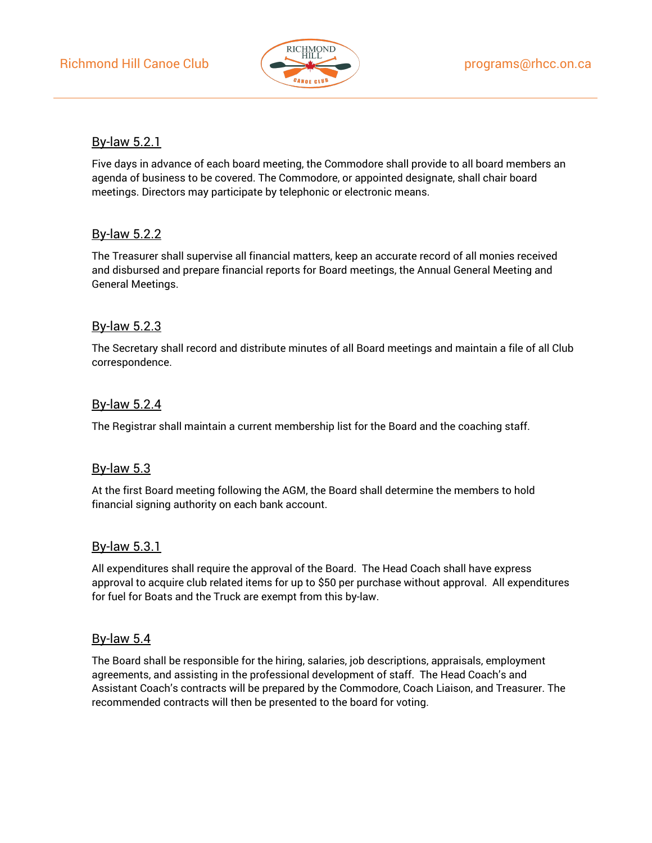

### By-law 5.2.1

Five days in advance of each board meeting, the Commodore shall provide to all board members an agenda of business to be covered. The Commodore, or appointed designate, shall chair board meetings. Directors may participate by telephonic or electronic means.

## By-law 5.2.2

The Treasurer shall supervise all financial matters, keep an accurate record of all monies received and disbursed and prepare financial reports for Board meetings, the Annual General Meeting and General Meetings.

# By-law 5.2.3

The Secretary shall record and distribute minutes of all Board meetings and maintain a file of all Club correspondence.

## By-law 5.2.4

The Registrar shall maintain a current membership list for the Board and the coaching staff.

#### By-law 5.3

At the first Board meeting following the AGM, the Board shall determine the members to hold financial signing authority on each bank account.

#### By-law 5.3.1

All expenditures shall require the approval of the Board. The Head Coach shall have express approval to acquire club related items for up to \$50 per purchase without approval. All expenditures for fuel for Boats and the Truck are exempt from this by-law.

#### By-law 5.4

The Board shall be responsible for the hiring, salaries, job descriptions, appraisals, employment agreements, and assisting in the professional development of staff. The Head Coach's and Assistant Coach's contracts will be prepared by the Commodore, Coach Liaison, and Treasurer. The recommended contracts will then be presented to the board for voting.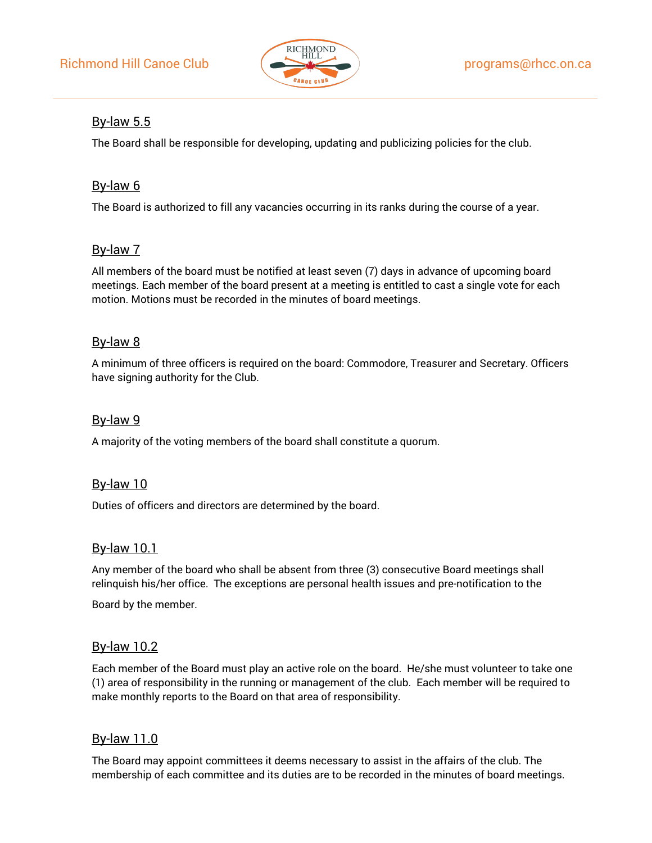

# By-law 5.5

The Board shall be responsible for developing, updating and publicizing policies for the club.

# By-law 6

The Board is authorized to fill any vacancies occurring in its ranks during the course of a year.

# By-law 7

All members of the board must be notified at least seven (7) days in advance of upcoming board meetings. Each member of the board present at a meeting is entitled to cast a single vote for each motion. Motions must be recorded in the minutes of board meetings.

## By-law 8

A minimum of three officers is required on the board: Commodore, Treasurer and Secretary. Officers have signing authority for the Club.

### By-law 9

A majority of the voting members of the board shall constitute a quorum.

#### By-law 10

Duties of officers and directors are determined by the board.

#### By-law 10.1

Any member of the board who shall be absent from three (3) consecutive Board meetings shall relinquish his/her office. The exceptions are personal health issues and pre-notification to the

Board by the member.

#### By-law 10.2

Each member of the Board must play an active role on the board. He/she must volunteer to take one (1) area of responsibility in the running or management of the club. Each member will be required to make monthly reports to the Board on that area of responsibility.

# By-law 11.0

The Board may appoint committees it deems necessary to assist in the affairs of the club. The membership of each committee and its duties are to be recorded in the minutes of board meetings.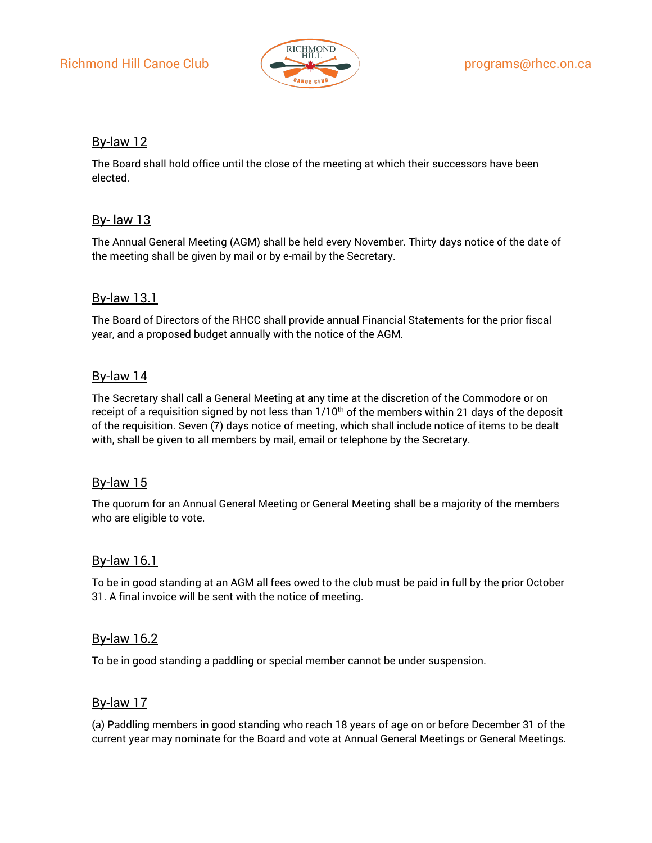

## By-law 12

The Board shall hold office until the close of the meeting at which their successors have been elected.

# By- law 13

The Annual General Meeting (AGM) shall be held every November. Thirty days notice of the date of the meeting shall be given by mail or by e-mail by the Secretary.

# By-law 13.1

The Board of Directors of the RHCC shall provide annual Financial Statements for the prior fiscal year, and a proposed budget annually with the notice of the AGM.

## By-law 14

The Secretary shall call a General Meeting at any time at the discretion of the Commodore or on receipt of a requisition signed by not less than  $1/10<sup>th</sup>$  of the members within 21 days of the deposit of the requisition. Seven (7) days notice of meeting, which shall include notice of items to be dealt with, shall be given to all members by mail, email or telephone by the Secretary.

#### By-law 15

The quorum for an Annual General Meeting or General Meeting shall be a majority of the members who are eligible to vote.

#### By-law 16.1

To be in good standing at an AGM all fees owed to the club must be paid in full by the prior October 31. A final invoice will be sent with the notice of meeting.

#### By-law 16.2

To be in good standing a paddling or special member cannot be under suspension.

#### By-law 17

(a) Paddling members in good standing who reach 18 years of age on or before December 31 of the current year may nominate for the Board and vote at Annual General Meetings or General Meetings.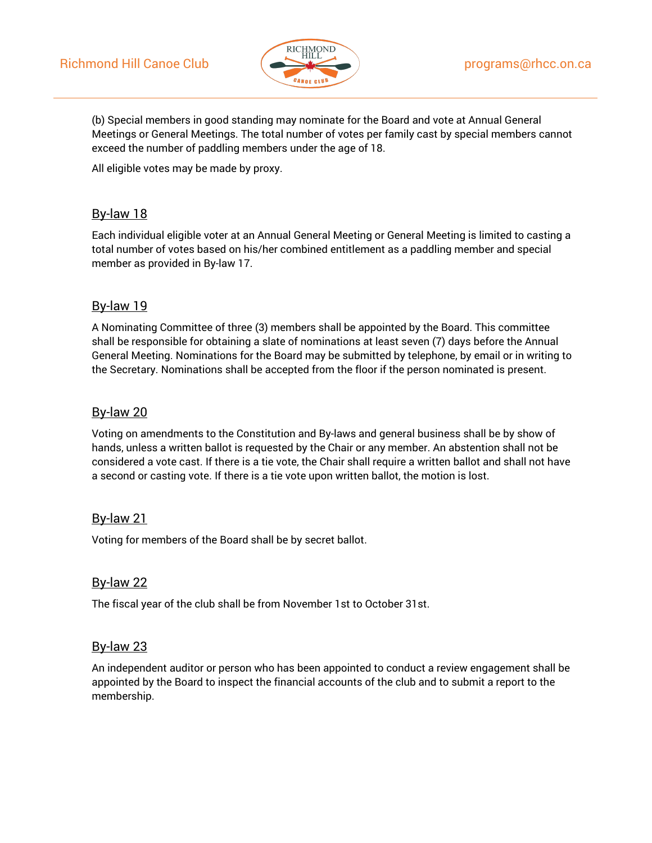

(b) Special members in good standing may nominate for the Board and vote at Annual General Meetings or General Meetings. The total number of votes per family cast by special members cannot exceed the number of paddling members under the age of 18.

All eligible votes may be made by proxy.

# By-law 18

Each individual eligible voter at an Annual General Meeting or General Meeting is limited to casting a total number of votes based on his/her combined entitlement as a paddling member and special member as provided in By-law 17.

# By-law 19

A Nominating Committee of three (3) members shall be appointed by the Board. This committee shall be responsible for obtaining a slate of nominations at least seven (7) days before the Annual General Meeting. Nominations for the Board may be submitted by telephone, by email or in writing to the Secretary. Nominations shall be accepted from the floor if the person nominated is present.

# By-law 20

Voting on amendments to the Constitution and By-laws and general business shall be by show of hands, unless a written ballot is requested by the Chair or any member. An abstention shall not be considered a vote cast. If there is a tie vote, the Chair shall require a written ballot and shall not have a second or casting vote. If there is a tie vote upon written ballot, the motion is lost.

# By-law 21

Voting for members of the Board shall be by secret ballot.

# By-law 22

The fiscal year of the club shall be from November 1st to October 31st.

#### By-law 23

An independent auditor or person who has been appointed to conduct a review engagement shall be appointed by the Board to inspect the financial accounts of the club and to submit a report to the membership.